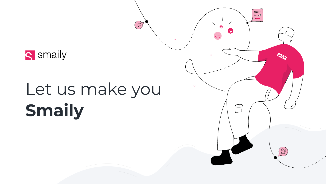



# Let us make you **Smaily**

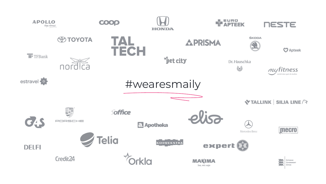

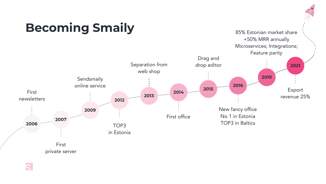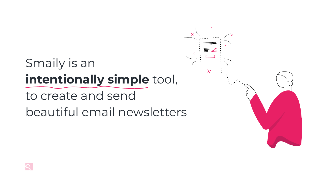# Smaily is an **intentionally simple** tool, to create and send beautiful email newsletters

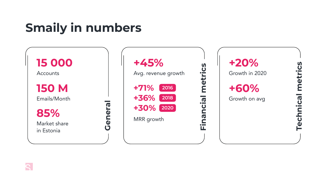# **Smaily in numbers**



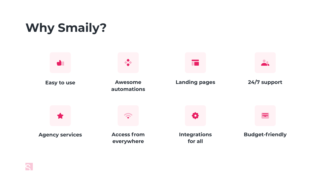## **Why Smaily?**



**Easy to use**



**Agency services**



## **Awesome automations**



**Access from everywhere**





## **Landing pages**



**Integrations for all**



## **24/7 support**



## **Budget-friendly**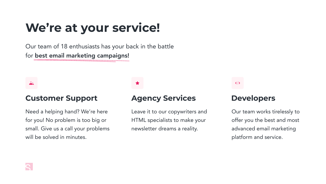# **We're at your service!**

Our team of 18 enthusiasts has your back in the battle for best email marketing campaigns!

Need a helping hand? We're here for you! No problem is too big or small. Give us a call your problems will be solved in minutes.

Leave it to our copywriters and HTML specialists to make your newsletter dreams a reality.





## $\langle \rangle$

Our team works tirelessly to offer you the best and most advanced email marketing platform and service.

## **Customer Support Agency Services Developers**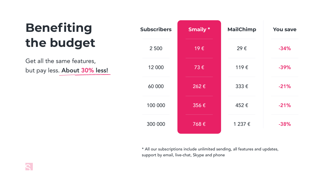| Benefiting                    | <b>Subs</b> |
|-------------------------------|-------------|
| the budget                    |             |
| $C_0$ at all the came footune |             |

Get all the same features, but pay less. About 30% less!

\* All our subscriptions include unlimited sending, all features and updates, support by email, live-chat, Skype and phone



| <b>Subscribers</b> | <b>Smaily*</b>     | <b>MailChimp</b> | <b>You save</b> |
|--------------------|--------------------|------------------|-----------------|
| 2 500              | 19€                | 29€              | $-34%$          |
| 12 000             | 73€                | 119€             | $-39%$          |
| 60 000             | 262€               | 333€             | $-21%$          |
| 100 000            | $356 \text{ } \in$ | 452€             | $-21%$          |
| 300 000            | 768€               | 1 237 €          | $-38%$          |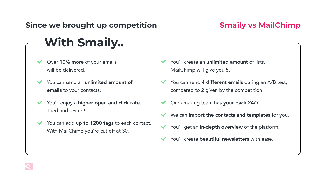# **Since we brought up competition With Smaily..**

- Over 10% more of your emails will be delivered.
- You can send an unlimited amount of emails to your contacts.
- You'll enjoy a higher open and click rate. Tried and tested!
- You can add up to 1200 tags to each contact. With MailChimp you're cut off at 30.
- You'll create an unlimited amount of lists. MailChimp will give you 5.
- You can send 4 different emails during an A/B test, compared to 2 given by the competition.
- Our amazing team has your back 24/7.
- We can import the contacts and templates for you.
- Y You'll get an in-depth overview of the platform.
- You'll create beautiful newsletters with ease.

## **Smaily vs MailChimp**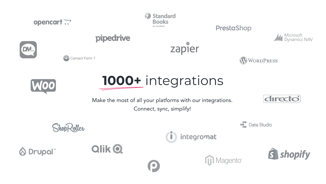







## PrestaShop











 $\left( 0 \right)$